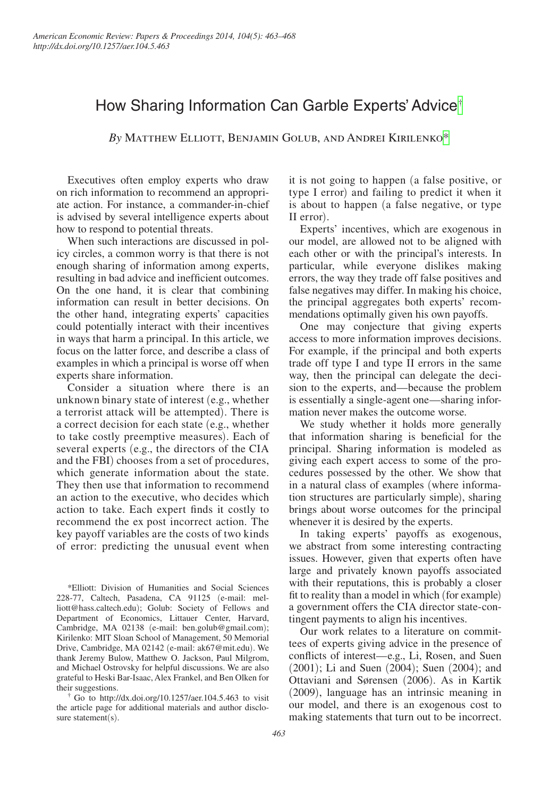# How Sharing Information Can Garble Experts' Advice[†](#page-0-0)

*By* Matthew Elliott, Benjamin Golub, and Andrei Kirilenk[o\\*](#page-0-1)

Executives often employ experts who draw on rich information to recommend an appropriate action. For instance, a commander-in-chief is advised by several intelligence experts about how to respond to potential threats.

When such interactions are discussed in policy circles, a common worry is that there is not enough sharing of information among experts, resulting in bad advice and inefficient outcomes. On the one hand, it is clear that combining information can result in better decisions. On the other hand, integrating experts' capacities could potentially interact with their incentives in ways that harm a principal. In this article, we focus on the latter force, and describe a class of examples in which a principal is worse off when experts share information.

Consider a situation where there is an unknown binary state of interest (e.g., whether a terrorist attack will be attempted). There is a correct decision for each state (e.g., whether to take costly preemptive measures). Each of several experts (e.g., the directors of the CIA and the FBI) chooses from a set of procedures, which generate information about the state. They then use that information to recommend an action to the executive, who decides which action to take. Each expert finds it costly to recommend the ex post incorrect action. The key payoff variables are the costs of two kinds of error: predicting the unusual event when

<span id="page-0-1"></span>\*Elliott: Division of Humanities and Social Sciences 228-77, Caltech, Pasadena, CA 91125 (e-mail: melliott@hass.caltech.edu); Golub: Society of Fellows and Department of Economics, Littauer Center, Harvard, Cambridge, MA 02138 (e-mail: ben.golub@gmail.com); Kirilenko: MIT Sloan School of Management, 50 Memorial Drive, Cambridge, MA 02142 (e-mail: ak67@mit.edu). We thank Jeremy Bulow, Matthew O. Jackson, Paul Milgrom, and Michael Ostrovsky for helpful discussions. We are also grateful to Heski Bar-Isaac, Alex Frankel, and Ben Olken for

<span id="page-0-0"></span>their suggestions.<br>
<sup>†</sup> Go to http://dx.doi.org/10.1257/aer.104.5.463 to visit the article page for additional materials and author disclosure statement(s).

it is not going to happen (a false positive, or type I error) and failing to predict it when it is about to happen (a false negative, or type II error).

Experts' incentives, which are exogenous in our model, are allowed not to be aligned with each other or with the principal's interests. In particular, while everyone dislikes making errors, the way they trade off false positives and false negatives may differ. In making his choice, the principal aggregates both experts' recommendations optimally given his own payoffs.

One may conjecture that giving experts access to more information improves decisions. For example, if the principal and both experts trade off type I and type II errors in the same way, then the principal can delegate the decision to the experts, and—because the problem is essentially a single-agent one—sharing information never makes the outcome worse.

We study whether it holds more generally that information sharing is beneficial for the principal. Sharing information is modeled as giving each expert access to some of the procedures possessed by the other. We show that in a natural class of examples (where information structures are particularly simple), sharing brings about worse outcomes for the principal whenever it is desired by the experts.

In taking experts' payoffs as exogenous, we abstract from some interesting contracting issues. However, given that experts often have large and privately known payoffs associated with their reputations, this is probably a closer fit to reality than a model in which (for example) a government offers the CIA director state-contingent payments to align his incentives.

Our work relates to a literature on committees of experts giving advice in the presence of conflicts of interest—e.g., Li, Rosen, and Suen (2001); Li and Suen (2004); Suen (2004); and Ottaviani and Sørensen (2006). As in Kartik (2009), language has an intrinsic meaning in our model, and there is an exogenous cost to making statements that turn out to be incorrect.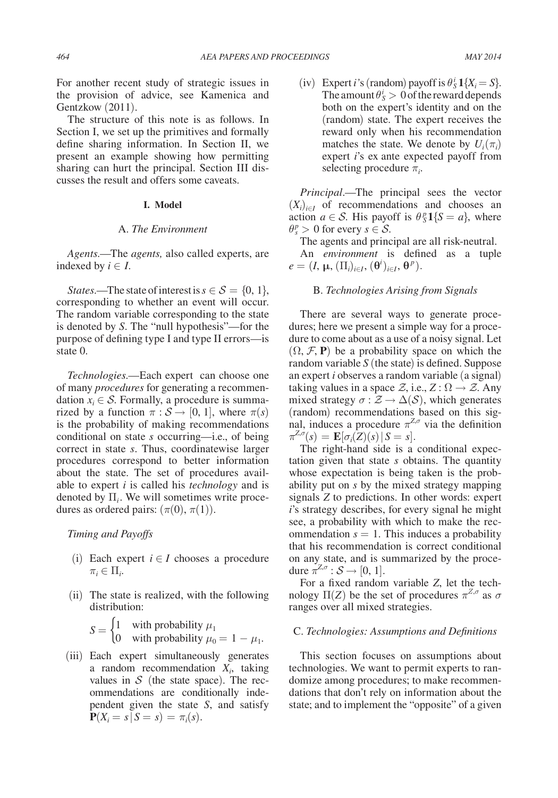For another recent study of strategic issues in the provision of advice, see Kamenica and Gentzkow (2011).

The structure of this note is as follows. In Section I, we set up the primitives and formally define sharing information. In Section II, we present an example showing how permitting sharing can hurt the principal. Section III discusses the result and offers some caveats.

## **I. Model**

## A. *The Environment*

*Agents*.—The *agents,* also called experts, are indexed by  $i \in I$ .

*States*.—The state of interest is  $s \in S = \{0, 1\}$ , corresponding to whether an event will occur. The random variable corresponding to the state is denoted by *S*. The "null hypothesis"—for the purpose of defining type I and type II errors—is state 0.

*Technologies*.—Each expert can choose one of many *procedures* for generating a recommendation  $x_i \in S$ . Formally, a procedure is summarized by a function  $\pi : S \to [0, 1]$ , where  $\pi(s)$ is the probability of making recommendations conditional on state *s* occurring—i.e., of being correct in state *s*. Thus, coordinatewise larger procedures correspond to better information about the state. The set of procedures available to expert *i* is called his *technology* and is denoted by  $\Pi_i$ . We will sometimes write procedures as ordered pairs:  $(\pi(0), \pi(1))$ .

*Timing and Payoffs*

- (i) Each expert  $i \in I$  chooses a procedure  $\pi_i \in \Pi_i$ .
- (ii) The state is realized, with the following distribution:

\n- (i) Each expert 
$$
i \in I
$$
 chooses a procedure  $\pi_i \in \Pi_i$ .
\n- (ii) The state is realized, with the following distribution:
\n- $S = \begin{cases} 1 & \text{with probability } \mu_1 \\ 0 & \text{with probability } \mu_0 = 1 - \mu_1. \end{cases}$
\n

(iii) Each expert simultaneously generates a random recommendation  $X_i$ , taking values in  $S$  (the state space). The recommendations are conditionally independent given the state *S*, and satisfy  $P(X_i = s | S = s) = \pi_i(s).$ 

(iv) Expert *i*'s (random) payoff is  $\theta_S^i \mathbf{1}\{X_i = S\}$ . The amount  $\theta_S^i > 0$  of the reward depends both on the expert's identity and on the (random) state. The expert receives the reward only when his recommendation matches the state. We denote by  $U_i(\pi_i)$ expert *i*'s ex ante expected payoff from selecting procedure π*<sup>i</sup>* .

*Principal*.—The principal sees the vector  $(X_i)_{i \in I}$  of recommendations and chooses an action  $a \in S$ . His payoff is  $\theta_S^p 1\{S = a\}$ , where  $\theta_s^p > 0$  for every  $s \in S$ .

The agents and principal are all risk-neutral.

An *environment* is defined as a tuple  $e = (I, \mu, (\Pi_i)_{i \in I}, (\theta^i)_{i \in I}, \theta^p).$ 

## B. *Technologies Arising from Signals*

There are several ways to generate procedures; here we present a simple way for a procedure to come about as a use of a noisy signal. Let  $(\Omega, \mathcal{F}, P)$  be a probability space on which the random variable *S* (the state) is defined. Suppose an expert *i* observes a random variable (a signal) taking values in a space  $\mathcal{Z}$ , i.e.,  $Z : \Omega \to \mathcal{Z}$ . Any mixed strategy  $\sigma : \mathcal{Z} \to \Delta(\mathcal{S})$ , which generates (random) recommendations based on this signal, induces a procedure  $\pi^{Z,\sigma}$  via the definition  $\pi^{Z,\sigma}(s) = \mathbf{E}[\sigma_i(Z)(s) | S = s].$ 

The right-hand side is a conditional expectation given that state *s* obtains. The quantity whose expectation is being taken is the probability put on *s* by the mixed strategy mapping signals *Z* to predictions. In other words: expert *i*'s strategy describes, for every signal he might see, a probability with which to make the recommendation  $s = 1$ . This induces a probability that his recommendation is correct conditional on any state, and is summarized by the procedure  $\pi^{Z,\sigma}: \mathcal{S} \to [0, 1].$ 

For a fixed random variable *Z*, let the technology  $\Pi(Z)$  be the set of procedures  $\pi^{Z,\sigma}$  as  $\sigma$ ranges over all mixed strategies.

## C. *Technologies: Assumptions and Definitions*

This section focuses on assumptions about technologies. We want to permit experts to randomize among procedures; to make recommendations that don't rely on information about the state; and to implement the "opposite" of a given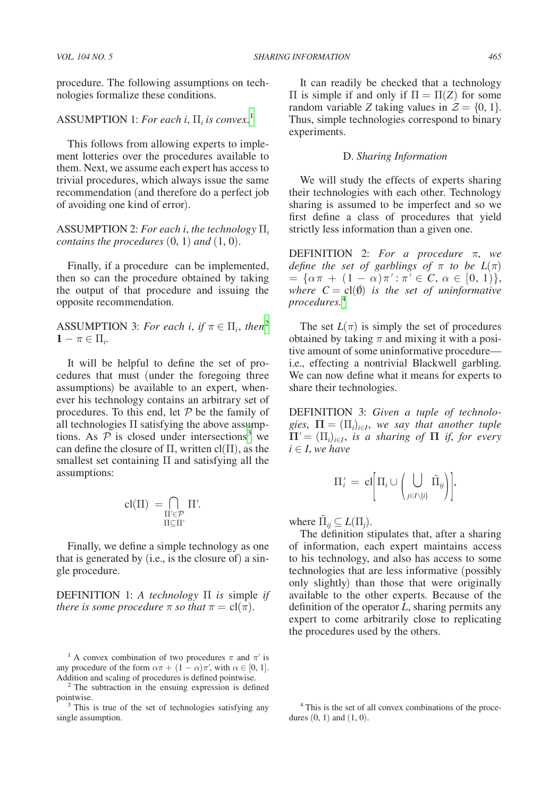*VOL. 104 NO. 5 SHARING INFORMATION 465*

procedure. The following assumptions on technologies formalize these conditions.

# ASSUMPTION 1: *For each i*, Π*<sup>i</sup> is convex.*[1](#page-2-0)

This follows from allowing experts to implement lotteries over the procedures available to them. Next, we assume each expert has access to trivial procedures, which always issue the same recommendation (and therefore do a perfect job of avoiding one kind of error).

# ASSUMPTION 2: *For each i*, *the technology* Π*<sup>i</sup> contains the procedures* (0, 1) *and* (1, 0).

Finally, if a procedure can be implemented, then so can the procedure obtained by taking the output of that procedure and issuing the opposite recommendation.

ASSUMPTION 3: *For each i, if*  $\pi \in \Pi_i$ *, then*<sup>[2](#page-2-1)</sup>  $1 - \pi \in \Pi_i$ 

It will be helpful to define the set of procedures that must (under the foregoing three assumptions) be available to an expert, whenever his technology contains an arbitrary set of procedures. To this end, let  $P$  be the family of all technologies Π satisfying the above assumptions. As  $\overline{P}$  is closed under intersections<sup>3</sup> we can define the closure of  $\Pi$ , written cl( $\Pi$ ), as the smallest set containing Π and satisfying all the assumptions:

$$
cl(\Pi) = \bigcap_{\substack{\Pi' \in \mathcal{P} \\ \Pi \subseteq \Pi'}} \Pi'.
$$

Finally, we define a simple technology as one that is generated by (i.e., is the closure of) a single procedure.

DEFINITION 1: *A technology* Π *is* simple *if there is some procedure*  $\pi$  *so that*  $\pi = \text{cl}(\pi)$ *.* 

It can readily be checked that a technology  $\Pi$  is simple if and only if  $\Pi = \Pi(Z)$  for some random variable *Z* taking values in  $\mathcal{Z} = \{0, 1\}.$ Thus, simple technologies correspond to binary experiments.

## D. *Sharing Information*

We will study the effects of experts sharing their technologies with each other. Technology sharing is assumed to be imperfect and so we first define a class of procedures that yield strictly less information than a given one.

DEFINITION 2: *For a procedure* π, *we define the set of garblings of*  $\pi$  *to be*  $L(\pi)$  $= {\alpha \pi + (1 - \alpha)\pi': \pi' \in C, \alpha \in [0, 1]},$ *where*  $C = cl(\emptyset)$  *is the set of uninformative procedures.*[4](#page-2-3)

The set  $L(\pi)$  is simply the set of procedures obtained by taking  $\pi$  and mixing it with a positive amount of some uninformative procedure i.e., effecting a nontrivial Blackwell garbling. We can now define what it means for experts to share their technologies.

DEFINITION 3: *Given a tuple of technologies*,  $\Pi = (\Pi_i)_{i \in I}$ , we say that another tuple  $\Pi' = (\Pi_i)_{i \in I}$ , *is a sharing of*  $\Pi$  *if, for every*  $i \in I$ *, we have* 

$$
\Pi'_i \,=\, {\rm cl}\bigg[\Pi_i \cup \bigg(\bigcup_{j\in I\setminus\{i\}} \tilde\Pi_{ij}\bigg)\bigg],
$$

where  $\tilde{\Pi}_{ij} \subseteq L(\Pi_j)$ .

The definition stipulates that, after a sharing of information, each expert maintains access to his technology, and also has access to some technologies that are less informative (possibly only slightly) than those that were originally available to the other experts. Because of the definition of the operator *L*, sharing permits any expert to come arbitrarily close to replicating the procedures used by the others.

<span id="page-2-0"></span><sup>&</sup>lt;sup>1</sup> A convex combination of two procedures  $\pi$  and  $\pi'$  is any procedure of the form  $\alpha \pi + (1 - \alpha)\pi'$ , with  $\alpha \in [0, 1]$ .<br>Addition and scaling of procedures is defined pointwise.

<span id="page-2-1"></span> $2$  The subtraction in the ensuing expression is defined

<span id="page-2-2"></span>pointwise. 3 This is true of the set of technologies satisfying any single assumption.

<span id="page-2-3"></span><sup>4</sup> This is the set of all convex combinations of the procedures  $(0, 1)$  and  $(1, 0)$ .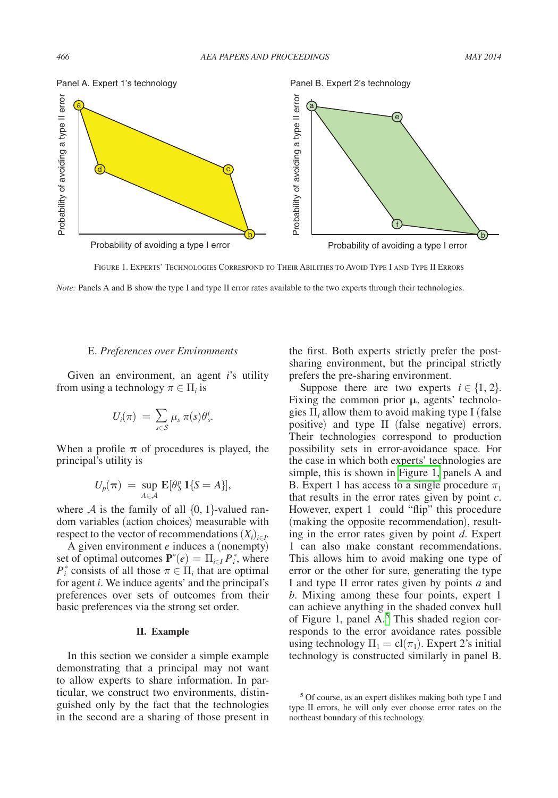

Figure 1. Experts' Technologies Correspond to Their Abilities to Avoid Type I and Type II Errors

## E. *Preferences over Environments*

Given an environment, an agent *i*'s utility from using a technology  $\pi \in \Pi_i$  is

$$
U_i(\pi) \ = \ \sum_{s \in \mathcal{S}} \ \mu_s \ \pi(s) \theta^i_s.
$$

When a profile  $\pi$  of procedures is played, the principal's utility is

$$
U_p(\boldsymbol{\pi}) = \sup_{A \in \mathcal{A}} \mathbf{E}[\theta_S^p \mathbf{1}\{S = A\}],
$$

where A is the family of all  $\{0, 1\}$ -valued random variables (action choices) measurable with respect to the vector of recommendations  $(X_i)_{i \in I}$ .

A given environment *e* induces a (nonempty) set of optimal outcomes  $\mathbf{P}^*(e) = \prod_{i \in I} P_i^*$ , where *P*<sup>\*</sup></sup> consists of all those  $\pi \in \Pi$ <sub>*i*</sub> that are optimal for agent *i*. We induce agents' and the principal's preferences over sets of outcomes from their basic preferences via the strong set order.

## **II. Example**

In this section we consider a simple example demonstrating that a principal may not want to allow experts to share information. In particular, we construct two environments, distinguished only by the fact that the technologies in the second are a sharing of those present in

the first. Both experts strictly prefer the postsharing environment, but the principal strictly prefers the pre-sharing environment.

Suppose there are two experts  $i \in \{1, 2\}$ . Fixing the common prior **μ**, agents' technologies  $\Pi$ <sub>*i*</sub> allow them to avoid making type I (false positive) and type II (false negative) errors. Their technologies correspond to production possibility sets in error-avoidance space. For the case in which both experts' technologies are simple, this is shown in Figure 1, panels A and B. Expert 1 has access to a single procedure  $\pi_1$ that results in the error rates given by point *c*. However, expert 1 could "flip" this procedure (making the opposite recommendation), resulting in the error rates given by point *d*. Expert 1 can also make constant recommendations. This allows him to avoid making one type of error or the other for sure, generating the type I and type II error rates given by points *a* and *b*. Mixing among these four points, expert 1 can achieve anything in the shaded convex hull of Figure 1, panel  $A$ <sup>[5](#page-3-0)</sup>. This shaded region corresponds to the error avoidance rates possible using technology  $\Pi_1 = \text{cl}(\pi_1)$ . Expert 2's initial technology is constructed similarly in panel B.

<span id="page-3-0"></span><sup>5</sup> Of course, as an expert dislikes making both type I and type II errors, he will only ever choose error rates on the northeast boundary of this technology.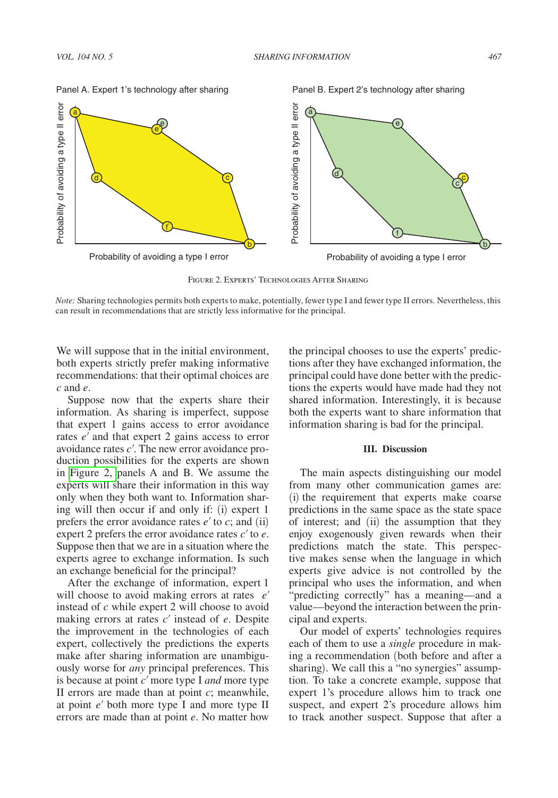

Figure 2. Experts' Technologies After Sharing

*Note:* Sharing technologies permits both experts to make, potentially, fewer type I and fewer type II errors. Nevertheless, this can result in recommendations that are strictly less informative for the principal.

We will suppose that in the initial environment, both experts strictly prefer making informative recommendations: that their optimal choices are *c* and *e*.

Suppose now that the experts share their information. As sharing is imperfect, suppose that expert 1 gains access to error avoidance rates *e*′ and that expert 2 gains access to error avoidance rates *c*′. The new error avoidance production possibilities for the experts are shown in Figure 2, panels A and B. We assume the experts will share their information in this way only when they both want to. Information sharing will then occur if and only if: (i) expert 1 prefers the error avoidance rates  $e'$  to  $c$ ; and (ii) expert 2 prefers the error avoidance rates *c*′ to *e*. Suppose then that we are in a situation where the experts agree to exchange information. Is such an exchange beneficial for the principal?

After the exchange of information, expert 1 will choose to avoid making errors at rates *e*′ instead of *c* while expert 2 will choose to avoid making errors at rates *c*′ instead of *e*. Despite the improvement in the technologies of each expert, collectively the predictions the experts make after sharing information are unambiguously worse for *any* principal preferences. This is because at point *c*′ more type I *and* more type II errors are made than at point *c*; meanwhile, at point *e*′ both more type I and more type II errors are made than at point *e*. No matter how

the principal chooses to use the experts' predictions after they have exchanged information, the principal could have done better with the predictions the experts would have made had they not shared information. Interestingly, it is because both the experts want to share information that information sharing is bad for the principal.

#### **III. Discussion**

The main aspects distinguishing our model from many other communication games are: (i) the requirement that experts make coarse predictions in the same space as the state space of interest; and (ii) the assumption that they enjoy exogenously given rewards when their predictions match the state. This perspective makes sense when the language in which experts give advice is not controlled by the principal who uses the information, and when "predicting correctly" has a meaning—and a value—beyond the interaction between the principal and experts.

Our model of experts' technologies requires each of them to use a *single* procedure in making a recommendation (both before and after a sharing). We call this a "no synergies" assumption. To take a concrete example, suppose that expert 1's procedure allows him to track one suspect, and expert 2's procedure allows him to track another suspect. Suppose that after a